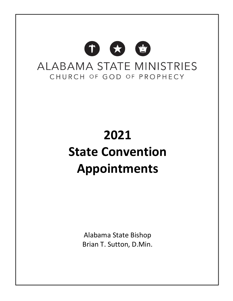

# **2021 State Convention Appointments**

Alabama State Bishop Brian T. Sutton, D.Min.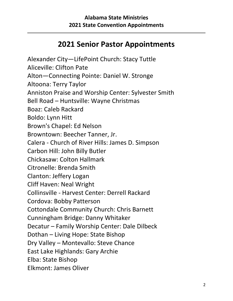# **2021 Senior Pastor Appointments**

Alexander City—LifePoint Church: Stacy Tuttle Aliceville: Clifton Pate Alton—Connecting Pointe: Daniel W. Stronge Altoona: Terry Taylor Anniston Praise and Worship Center: Sylvester Smith Bell Road – Huntsville: Wayne Christmas Boaz: Caleb Rackard Boldo: Lynn Hitt Brown's Chapel: Ed Nelson Browntown: Beecher Tanner, Jr. Calera - Church of River Hills: James D. Simpson Carbon Hill: John Billy Butler Chickasaw: Colton Hallmark Citronelle: Brenda Smith Clanton: Jeffery Logan Cliff Haven: Neal Wright Collinsville - Harvest Center: Derrell Rackard Cordova: Bobby Patterson Cottondale Community Church: Chris Barnett Cunningham Bridge: Danny Whitaker Decatur – Family Worship Center: Dale Dilbeck Dothan – Living Hope: State Bishop Dry Valley – Montevallo: Steve Chance East Lake Highlands: Gary Archie Elba: State Bishop Elkmont: James Oliver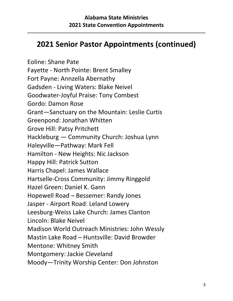# **2021 Senior Pastor Appointments (continued)**

Eoline: Shane Pate Fayette - North Pointe: Brent Smalley Fort Payne: Annzella Abernathy Gadsden - Living Waters: Blake Neivel Goodwater-Joyful Praise: Tony Combest Gordo: Damon Rose Grant—Sanctuary on the Mountain: Leslie Curtis Greenpond: Jonathan Whitten Grove Hill: Patsy Pritchett Hackleburg — Community Church: Joshua Lynn Haleyville—Pathway: Mark Fell Hamilton - New Heights: Nic Jackson Happy Hill: Patrick Sutton Harris Chapel: James Wallace Hartselle-Cross Community: Jimmy Ringgold Hazel Green: Daniel K. Gann Hopewell Road – Bessemer: Randy Jones Jasper - Airport Road: Leland Lowery Leesburg-Weiss Lake Church: James Clanton Lincoln: Blake Neivel Madison World Outreach Ministries: John Wessly Mastin Lake Road – Huntsville: David Browder Mentone: Whitney Smith Montgomery: Jackie Cleveland Moody—Trinity Worship Center: Don Johnston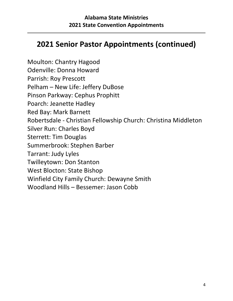# **2021 Senior Pastor Appointments (continued)**

Moulton: Chantry Hagood Odenville: Donna Howard Parrish: Roy Prescott Pelham – New Life: Jeffery DuBose Pinson Parkway: Cephus Prophitt Poarch: Jeanette Hadley Red Bay: Mark Barnett Robertsdale - Christian Fellowship Church: Christina Middleton Silver Run: Charles Boyd Sterrett: Tim Douglas Summerbrook: Stephen Barber Tarrant: Judy Lyles Twilleytown: Don Stanton West Blocton: State Bishop Winfield City Family Church: Dewayne Smith Woodland Hills – Bessemer: Jason Cobb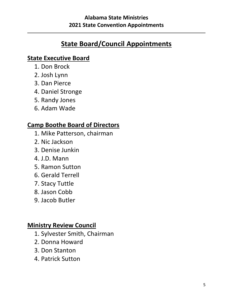# **State Board/Council Appointments**

# **State Executive Board**

- 1. Don Brock
- 2. Josh Lynn
- 3. Dan Pierce
- 4. Daniel Stronge
- 5. Randy Jones
- 6. Adam Wade

# **Camp Boothe Board of Directors**

- 1. Mike Patterson, chairman
- 2. Nic Jackson
- 3. Denise Junkin
- 4. J.D. Mann
- 5. Ramon Sutton
- 6. Gerald Terrell
- 7. Stacy Tuttle
- 8. Jason Cobb
- 9. Jacob Butler

#### **Ministry Review Council**

- 1. Sylvester Smith, Chairman
- 2. Donna Howard
- 3. Don Stanton
- 4. Patrick Sutton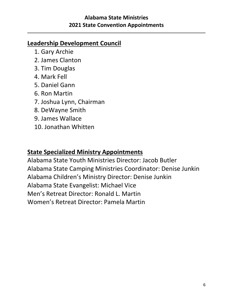#### **Alabama State Ministries 2021 State Convention Appointments**

# **Leadership Development Council**

- 1. Gary Archie
- 2. James Clanton
- 3. Tim Douglas
- 4. Mark Fell
- 5. Daniel Gann
- 6. Ron Martin
- 7. Joshua Lynn, Chairman
- 8. DeWayne Smith
- 9. James Wallace
- 10. Jonathan Whitten

## **State Specialized Ministry Appointments**

Alabama State Youth Ministries Director: Jacob Butler Alabama State Camping Ministries Coordinator: Denise Junkin Alabama Children's Ministry Director: Denise Junkin Alabama State Evangelist: Michael Vice Men's Retreat Director: Ronald L. Martin Women's Retreat Director: Pamela Martin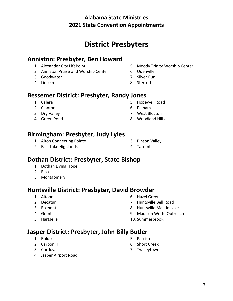# **District Presbyters**

#### **Anniston: Presbyter, Ben Howard**

- 1. Alexander City LifePoint
- 2. Anniston Praise and Worship Center
- 3. Goodwater
- 4. Lincoln
- 5. Moody Trinity Worship Center
- 6. Odenville
- 7. Silver Run
- 8. Sterrett

#### **Bessemer District: Presbyter, Randy Jones**

- 1. Calera
- 2. Clanton
- 3. Dry Valley
- 4. Green Pond
- 5. Hopewell Road
- 6. Pelham
- 7. West Blocton
- 8. Woodland Hills

#### **Birmingham: Presbyter, Judy Lyles**

1. Alton Connecting Pointe

3. Pinson Valley

2. East Lake Highlands

4. Tarrant

## **Dothan District: Presbyter, State Bishop**

- 1. Dothan Living Hope
- 2. Elba
- 3. Montgomery

## **Huntsville District: Presbyter, David Browder**

- 1. Altoona
- 2. Decatur
- 3. Elkmont
- 4. Grant
- 5. Hartselle
- 6. Hazel Green
- 7. Huntsville Bell Road
- 8. Huntsville Mastin Lake
- 9. Madison World Outreach
- 10. Summerbrook

#### **Jasper District: Presbyter, John Billy Butler**

- 1. Boldo
- 2. Carbon Hill
- 3. Cordova
- 4. Jasper Airport Road
- 5. Parrish
- 6. Short Creek
- 7. Twilleytown